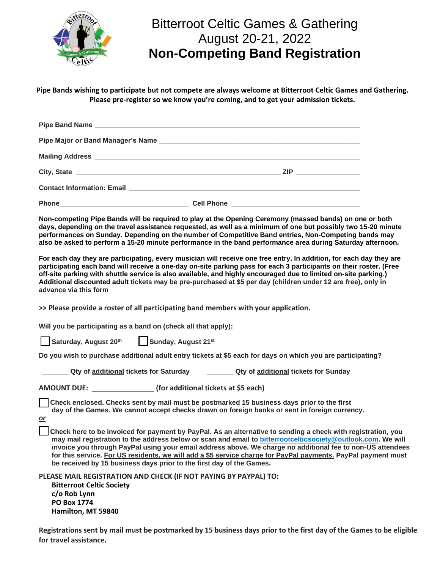

## Bitterroot Celtic Games & Gathering August 20-21, 2022 **Non-Competing Band Registration**

**Pipe Bands wishing to participate but not compete are always welcome at Bitterroot Celtic Games and Gathering. Please pre-register so we know you're coming, and to get your admission tickets.**

| Mailing Address League and Contract and Contract and Contract and Contract and Contract and Contract and Contract and |  |  |
|-----------------------------------------------------------------------------------------------------------------------|--|--|
|                                                                                                                       |  |  |
|                                                                                                                       |  |  |
|                                                                                                                       |  |  |

**Non-competing Pipe Bands will be required to play at the Opening Ceremony (massed bands) on one or both days, depending on the travel assistance requested, as well as a minimum of one but possibly two 15-20 minute performances on Sunday. Depending on the number of Competitive Band entries, Non-Competing bands may also be asked to perform a 15-20 minute performance in the band performance area during Saturday afternoon.**

**For each day they are participating, every musician will receive one free entry. In addition, for each day they are participating each band will receive a one-day on-site parking pass for each 3 participants on their roster. (Free off-site parking with shuttle service is also available, and highly encouraged due to limited on-site parking.) Additional discounted adult tickets may be pre-purchased at \$5 per day (children under 12 are free), only in advance via this form**

**>> Please provide a roster of all participating band members with your application.**

**Will you be participating as a band on (check all that apply):**

Saturday, August 20<sup>th</sup> <sup>th</sup> Sunday, August 21<sup>st</sup>

**Hamilton, MT 59840**

**Do you wish to purchase additional adult entry tickets at \$5 each for days on which you are participating?**

|                                                                        | Qty of additional tickets for Saturday                               |                                      | <b>Qty of additional tickets for Sunday</b>                                                                                                                                                                                                                                                                                                                                                                                                                 |  |
|------------------------------------------------------------------------|----------------------------------------------------------------------|--------------------------------------|-------------------------------------------------------------------------------------------------------------------------------------------------------------------------------------------------------------------------------------------------------------------------------------------------------------------------------------------------------------------------------------------------------------------------------------------------------------|--|
| <b>AMOUNT DUE:</b>                                                     |                                                                      | (for additional tickets at \$5 each) |                                                                                                                                                                                                                                                                                                                                                                                                                                                             |  |
| <u>or</u>                                                              |                                                                      |                                      | Check enclosed. Checks sent by mail must be postmarked 15 business days prior to the first<br>day of the Games. We cannot accept checks drawn on foreign banks or sent in foreign currency.                                                                                                                                                                                                                                                                 |  |
|                                                                        | be received by 15 business days prior to the first day of the Games. |                                      | Check here to be invoiced for payment by PayPal. As an alternative to sending a check with registration, you<br>may mail registration to the address below or scan and email to bitterrootcelticsociety@outlook.com. We will<br>invoice you through PayPal using your email address above. We charge no additional fee to non-US attendees<br>for this service. For US residents, we will add a \$5 service charge for PayPal payments. PayPal payment must |  |
| <b>Bitterroot Celtic Society</b><br>c/o Rob Lynn<br><b>PO Box 1774</b> | PLEASE MAIL REGISTRATION AND CHECK (IF NOT PAYING BY PAYPAL) TO:     |                                      |                                                                                                                                                                                                                                                                                                                                                                                                                                                             |  |

**Registrations sent by mail must be postmarked by 15 business days prior to the first day of the Games to be eligible for travel assistance.**